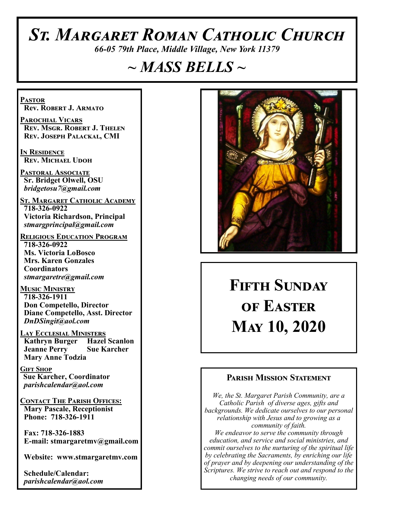# *St. Margaret Roman Catholic Church*

*66-05 79th Place, Middle Village, New York 11379*

# *~ MASS BELLS ~*

**Pastor Rev. Robert J. Armato**

**Parochial Vicars Rev. Msgr. Robert J. Thelen Rev. Joseph Palackal, CMI**

**In Residence Rev. Michael Udoh**

**Pastoral Associate Sr. Bridget Olwell, OSU**  *bridgetosu7@gmail.com*

**St. Margaret Catholic Academy 718-326-0922 Victoria Richardson, Principal**  *stmargprincipal@gmail.com*

**Religious Education Program 718-326-0922 Ms. Victoria LoBosco Mrs. Karen Gonzales Coordinators** *stmargaretre@gmail.com*

**Music Ministry 718-326-1911 Don Competello, Director Diane Competello, Asst. Director** *DnDSingit@aol.com*

**Lay Ecclesial Ministers Kathryn Burger Hazel Scanlon Jeanne Perry Sue Karcher Mary Anne Todzia**

**Gift Shop Sue Karcher, Coordinator** *parishcalendar@aol.com*

**Contact The Parish Offices: Mary Pascale, Receptionist Phone: 718-326-1911** 

 **Fax: 718-326-1883 E-mail: stmargaretmv@gmail.com**

 **Website: www.stmargaretmv.com**

 **Schedule/Calendar:** *parishcalendar@aol.com* 



# **Fifth Sunday of Easter May 10, 2020**

### **Parish Mission Statement**

*We, the St. Margaret Parish Community, are a Catholic Parish of diverse ages, gifts and backgrounds. We dedicate ourselves to our personal relationship with Jesus and to growing as a community of faith. We endeavor to serve the community through education, and service and social ministries, and commit ourselves to the nurturing of the spiritual life by celebrating the Sacraments, by enriching our life of prayer and by deepening our understanding of the Scriptures. We strive to reach out and respond to the changing needs of our community.*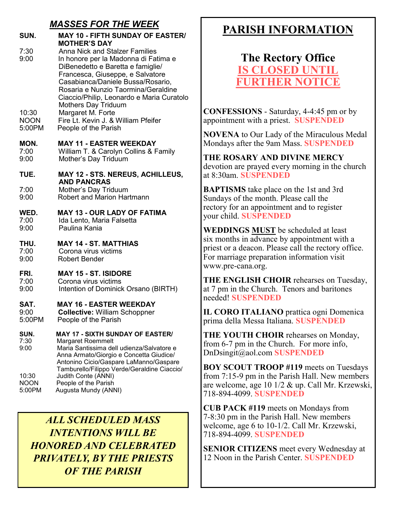### *MASSES FOR THE WEEK*

| SUN.                                           | <b>MAY 10 - FIFTH SUNDAY OF EASTER/</b><br><b>MOTHER'S DAY</b>                                                                                                                                                                                                                                                                                                                                    |
|------------------------------------------------|---------------------------------------------------------------------------------------------------------------------------------------------------------------------------------------------------------------------------------------------------------------------------------------------------------------------------------------------------------------------------------------------------|
| 7:30<br>9:00<br>10:30<br><b>NOON</b><br>5:00PM | <b>Anna Nick and Stalzer Families</b><br>In honore per la Madonna di Fatima e<br>DiBenedetto e Baretta e famiglie/<br>Francesca, Giuseppe, e Salvatore<br>Casabianca/Daniele Bussa/Rosario,<br>Rosaria e Nunzio Taormina/Geraldine<br>Ciaccio/Philip, Leonardo e Maria Curatolo<br><b>Mothers Day Triduum</b><br>Margaret M. Forte<br>Fire Lt. Kevin J. & William Pfeifer<br>People of the Parish |
|                                                |                                                                                                                                                                                                                                                                                                                                                                                                   |
| MON.<br>7:00<br>9:00                           | <b>MAY 11 - EASTER WEEKDAY</b><br>William T. & Carolyn Collins & Family<br>Mother's Day Triduum                                                                                                                                                                                                                                                                                                   |
| TUE.                                           | <b>MAY 12 - STS. NEREUS, ACHILLEUS,</b>                                                                                                                                                                                                                                                                                                                                                           |
| 7:00<br>9:00                                   | <b>AND PANCRAS</b><br>Mother's Day Triduum<br><b>Robert and Marion Hartmann</b>                                                                                                                                                                                                                                                                                                                   |
| WED.<br>7:00<br>9:00                           | <b>MAY 13 - OUR LADY OF FATIMA</b><br>Ida Lento, Maria Falsetta<br>Paulina Kania                                                                                                                                                                                                                                                                                                                  |
| THU.<br>7:00<br>9:00                           | <b>MAY 14 - ST. MATTHIAS</b><br>Corona virus victims<br><b>Robert Bender</b>                                                                                                                                                                                                                                                                                                                      |
| FRI.<br>7:00<br>9:00                           | <b>MAY 15 - ST. ISIDORE</b><br>Corona virus victims<br>Intention of Dominick Orsano (BIRTH)                                                                                                                                                                                                                                                                                                       |
| SAT.<br>9:00<br>5:00PM                         | <b>MAY 16 - EASTER WEEKDAY</b><br><b>Collective: William Schoppner</b><br>People of the Parish                                                                                                                                                                                                                                                                                                    |
| SUN.<br>7:30<br>9:00                           | <b>MAY 17 - SIXTH SUNDAY OF EASTER/</b><br>Margaret Roemmelt<br>Maria Santissima dell udienza/Salvatore e<br>Anna Armato/Giorgio e Concetta Giudice/<br>Antonino Cicio/Gaspare LaManno/Gaspare<br>Tamburello/Filippo Verde/Geraldine Ciaccio/                                                                                                                                                     |
| 10:30<br>NOON<br>5:00PM                        | Judith Conte (ANNI)<br>People of the Parish<br>Augusta Mundy (ANNI)                                                                                                                                                                                                                                                                                                                               |

*ALL SCHEDULED MASS INTENTIONS WILL BE HONORED AND CELEBRATED PRIVATELY, BY THE PRIESTS OF THE PARISH*

# **PARISH INFORMATION**

# **The Rectory Office IS CLOSED UNT FURTHER NOTICE**

**CONFESSIONS** - Saturday, 4-4:45 pm or by appointment with a priest. **SUSPENDED**

**NOVENA** to Our Lady of the Miraculous Medal Mondays after the 9am Mass. **SUSPENDED**

**THE ROSARY AND DIVINE MERCY** devotion are prayed every morning in the church at 8:30am. **SUSPENDED**

**BAPTISMS** take place on the 1st and 3rd Sundays of the month. Please call the rectory for an appointment and to register your child. **SUSPENDED**

**WEDDINGS MUST** be scheduled at least six months in advance by appointment with a priest or a deacon. Please call the rectory office. For marriage preparation information visit www.pre-cana.org.

**THE ENGLISH CHOIR** rehearses on Tuesday, at 7 pm in the Church. Tenors and baritones needed! **SUSPENDED**

**IL CORO ITALIANO** prattica ogni Domenica prima della Messa Italiana. **SUSPENDED**

**THE YOUTH CHOIR** rehearses on Monday, from 6-7 pm in the Church. For more info, DnDsingit@aol.com **SUSPENDED**

**BOY SCOUT TROOP #119** meets on Tuesdays from 7:15-9 pm in the Parish Hall. New members are welcome, age 10 1/2 & up. Call Mr. Krzewski, 718-894-4099. **SUSPENDED**

**CUB PACK #119** meets on Mondays from 7-8:30 pm in the Parish Hall. New members welcome, age 6 to 10-1/2. Call Mr. Krzewski, 718-894-4099. **SUSPENDED**

**SENIOR CITIZENS** meet every Wednesday at 12 Noon in the Parish Center. **SUSPENDED**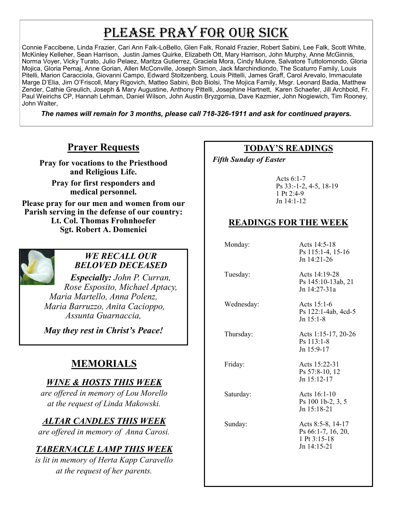# PLEASE PRAY FOR OUR SICK

Connie Faccibene, Linda Frazier, Cari Ann Falk-LoBello, Glen Falk, Ronald Frazier, Robert Sabini, Lee Falk, Scott White, McKinley Kelleher, Sean Harrison, Justin James Quirke, Elizabeth Ott, Mary Harrison, John Murphy, Anne McGinnis, Norma Voyer, Vicky Turato, Julio Pelaez, Maritza Gutierrez, Graciela Mora, Cindy Mulore, Salvatore Tuttolomondo, Gloria Mojica, Gloria Pemaj, Anne Gorian, Allen McConville, Joseph Simon, Jack Marchindiondo, The Scaturro Family, Louis Pitelli, Marion Caracciola, Giovanni Campo, Edward Stoltzenberg, Louis Pittelli, James Graff, Carol Arevalo, Immaculate Marge D'Elia, Jim O'Friscoll, Mary Rigovich, Matteo Sabini, Bob Biolsi, The Mojica Family, Msgr. Leonard Badia, Matthew Zender, Cathie Greulich, Joseph & Mary Augustine, Anthony Pittelli, Josephine Hartnett, Karen Schaefer, Jill Archbold, Fr. Paul Weirichs CP, Hannah Lehman, Daniel Wilson, John Austin Bryzgornia, Dave Kazmier, John Nogiewich, Tim Rooney, John Walter,

*The names will remain for 3 months, please call 718-326-1911 and ask for continued prayers.*

# **Prayer Requests**

**Pray for vocations to the Priesthood and Religious Life.** 

**Pray for first responders and medical personnel.**

**Please pray for our men and women from our Parish serving in the defense of our country: Lt. Col. Thomas Frohnhoefer Sgt. Robert A. Domenici** 



#### *WE RECALL OUR BELOVED DECEASED*

*Especially: John P. Curran, Rose Esposito, Michael Aptacy, Maria Martello, Anna Polenz, Maria Barruzzo, Anita Cacioppo, Assunta Guarnaccia,* 

*May they rest in Christ's Peace!*

# **MEMORIALS**

# *WINE & HOSTS THIS WEEK*

*are offered in memory of Lou Morello at the request of Linda Makowski.* 

# *ALTAR CANDLES THIS WEEK*

*are offered in memory of Anna Carosi.* 

# *TABERNACLE LAMP THIS WEEK*

*is lit in memory of Herta Kapp Caravello at the request of her parents.* 

### **TODAY'S READINGS**

 *Fifth Sunday of Easter* 

Acts 6:1-7 Ps 33:-1-2, 4-5, 18-19 1 Pt 2:4-9 Jn 14:1-12

# **READINGS FOR THE WEEK**

| Monday:    | Acts 14:5-18<br>Ps 115:1-4, 15-16<br>$Jn$ 14:21-26                       |
|------------|--------------------------------------------------------------------------|
| Tuesday:   | Acts 14:19-28<br>Ps 145:10-13ab, 21<br>$Jn$ 14:27-31a                    |
| Wednesday: | Acts $15:1-6$<br>Ps 122:1-4ab, 4cd-5<br>$Jn$ 15:1-8                      |
| Thursday:  | Acts 1:15-17, 20-26<br>$Ps$ 113:1-8<br>Jn 15:9-17                        |
| Friday:    | Acts 15:22-31<br>Ps 57:8-10, 12<br>$Jn$ 15:12-17                         |
| Saturday:  | Acts 16:1-10<br>Ps 100 1b-2, 3, 5<br>$Jn$ 15:18-21                       |
| Sunday:    | Acts 8:5-8, 14-17<br>Ps 66:1-7, 16, 20,<br>1 Pt 3:15-18<br>$Jn$ 14:15-21 |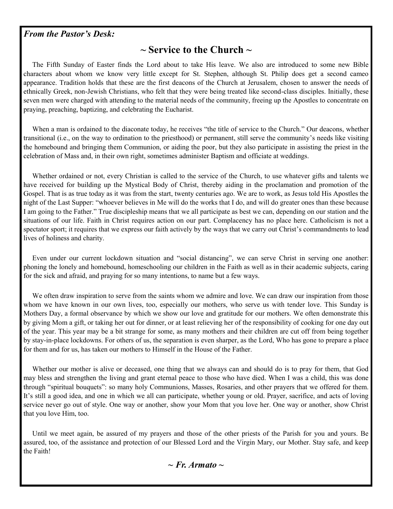#### *From the Pastor's Desk:*

## **~ Service to the Church ~**

 The Fifth Sunday of Easter finds the Lord about to take His leave. We also are introduced to some new Bible characters about whom we know very little except for St. Stephen, although St. Philip does get a second cameo appearance. Tradition holds that these are the first deacons of the Church at Jerusalem, chosen to answer the needs of ethnically Greek, non-Jewish Christians, who felt that they were being treated like second-class disciples. Initially, these seven men were charged with attending to the material needs of the community, freeing up the Apostles to concentrate on praying, preaching, baptizing, and celebrating the Eucharist.

When a man is ordained to the diaconate today, he receives "the title of service to the Church." Our deacons, whether transitional (i.e., on the way to ordination to the priesthood) or permanent, still serve the community's needs like visiting the homebound and bringing them Communion, or aiding the poor, but they also participate in assisting the priest in the celebration of Mass and, in their own right, sometimes administer Baptism and officiate at weddings.

 Whether ordained or not, every Christian is called to the service of the Church, to use whatever gifts and talents we have received for building up the Mystical Body of Christ, thereby aiding in the proclamation and promotion of the Gospel. That is as true today as it was from the start, twenty centuries ago. We are to work, as Jesus told His Apostles the night of the Last Supper: "whoever believes in Me will do the works that I do, and will do greater ones than these because I am going to the Father." True discipleship means that we all participate as best we can, depending on our station and the situations of our life. Faith in Christ requires action on our part. Complacency has no place here. Catholicism is not a spectator sport; it requires that we express our faith actively by the ways that we carry out Christ's commandments to lead lives of holiness and charity.

 Even under our current lockdown situation and "social distancing", we can serve Christ in serving one another: phoning the lonely and homebound, homeschooling our children in the Faith as well as in their academic subjects, caring for the sick and afraid, and praying for so many intentions, to name but a few ways.

We often draw inspiration to serve from the saints whom we admire and love. We can draw our inspiration from those whom we have known in our own lives, too, especially our mothers, who serve us with tender love. This Sunday is Mothers Day, a formal observance by which we show our love and gratitude for our mothers. We often demonstrate this by giving Mom a gift, or taking her out for dinner, or at least relieving her of the responsibility of cooking for one day out of the year. This year may be a bit strange for some, as many mothers and their children are cut off from being together by stay-in-place lockdowns. For others of us, the separation is even sharper, as the Lord, Who has gone to prepare a place for them and for us, has taken our mothers to Himself in the House of the Father.

 Whether our mother is alive or deceased, one thing that we always can and should do is to pray for them, that God may bless and strengthen the living and grant eternal peace to those who have died. When I was a child, this was done through "spiritual bouquets": so many holy Communions, Masses, Rosaries, and other prayers that we offered for them. It's still a good idea, and one in which we all can participate, whether young or old. Prayer, sacrifice, and acts of loving service never go out of style. One way or another, show your Mom that you love her. One way or another, show Christ that you love Him, too.

 Until we meet again, be assured of my prayers and those of the other priests of the Parish for you and yours. Be assured, too, of the assistance and protection of our Blessed Lord and the Virgin Mary, our Mother. Stay safe, and keep the Faith!

*~ Fr. Armato ~*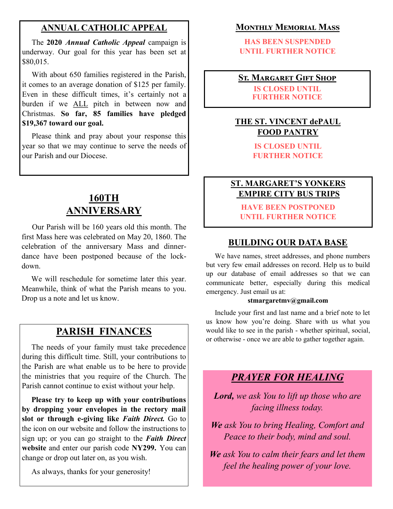#### **ANNUAL CATHOLIC APPEAL**

 The **2020** *Annual Catholic Appeal* campaign is underway. Our goal for this year has been set at \$80,015.

 With about 650 families registered in the Parish, it comes to an average donation of \$125 per family. Even in these difficult times, it's certainly not a burden if we ALL pitch in between now and Christmas. **So far, 85 families have pledged \$19,367 toward our goal.**

 Please think and pray about your response this year so that we may continue to serve the needs of our Parish and our Diocese.

# **160TH ANNIVERSARY**

 Our Parish will be 160 years old this month. The first Mass here was celebrated on May 20, 1860. The celebration of the anniversary Mass and dinnerdance have been postponed because of the lockdown.

 We will reschedule for sometime later this year. Meanwhile, think of what the Parish means to you. Drop us a note and let us know.

# **PARISH FINANCES**

 The needs of your family must take precedence during this difficult time. Still, your contributions to the Parish are what enable us to be here to provide the ministries that you require of the Church. The Parish cannot continue to exist without your help.

 **Please try to keep up with your contributions by dropping your envelopes in the rectory mail slot or through e-giving like** *Faith Direct.* Go to the icon on our website and follow the instructions to sign up; or you can go straight to the *Faith Direct*  **website** and enter our parish code **NY299.** You can change or drop out later on, as you wish.

As always, thanks for your generosity!

#### **Monthly Memorial Mass**

**HAS BEEN SUSPENDED UNTIL FURTHER NOTICE**

#### **St. Margaret Gift Shop**

**IS CLOSED UNTIL FURTHER NOTICE**

### **THE ST. VINCENT dePAUL FOOD PANTRY**

**IS CLOSED UNTIL FURTHER NOTICE**

#### **ST. MARGARET'S YONKERS EMPIRE CITY BUS TRIPS**

**HAVE BEEN POSTPONED UNTIL FURTHER NOTICE**

#### **BUILDING OUR DATA BASE**

We have names, street addresses, and phone numbers but very few email addresses on record. Help us to build up our database of email addresses so that we can communicate better, especially during this medical emergency. Just email us at:

#### **stmargaretmv@gmail.com**

 Include your first and last name and a brief note to let us know how you're doing. Share with us what you would like to see in the parish - whether spiritual, social, or otherwise - once we are able to gather together again.

# *PRAYER FOR HEALING*

*Lord, we ask You to lift up those who are facing illness today.*

*We ask You to bring Healing, Comfort and Peace to their body, mind and soul.*

*We ask You to calm their fears and let them feel the healing power of your love.*